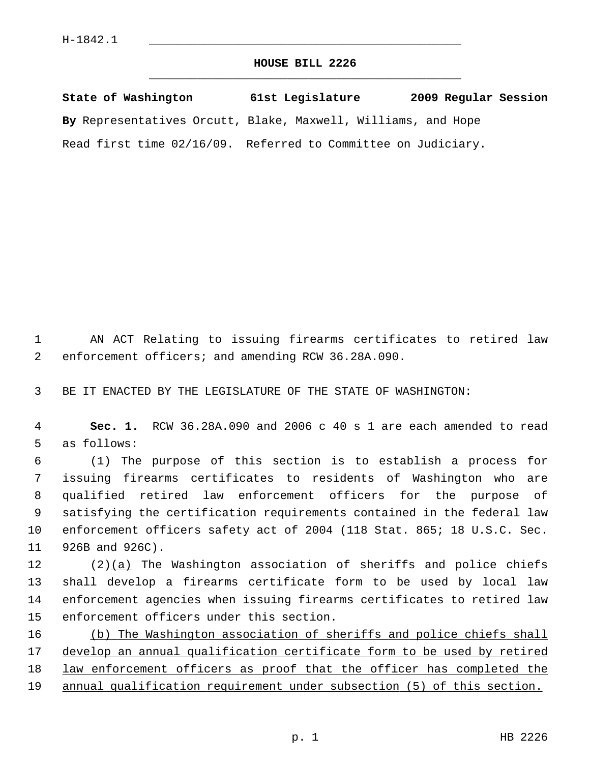## **HOUSE BILL 2226** \_\_\_\_\_\_\_\_\_\_\_\_\_\_\_\_\_\_\_\_\_\_\_\_\_\_\_\_\_\_\_\_\_\_\_\_\_\_\_\_\_\_\_\_\_

**State of Washington 61st Legislature 2009 Regular Session By** Representatives Orcutt, Blake, Maxwell, Williams, and Hope Read first time 02/16/09. Referred to Committee on Judiciary.

 1 AN ACT Relating to issuing firearms certificates to retired law 2 enforcement officers; and amending RCW 36.28A.090.

3 BE IT ENACTED BY THE LEGISLATURE OF THE STATE OF WASHINGTON:

 4 **Sec. 1.** RCW 36.28A.090 and 2006 c 40 s 1 are each amended to read 5 as follows:

 6 (1) The purpose of this section is to establish a process for 7 issuing firearms certificates to residents of Washington who are 8 qualified retired law enforcement officers for the purpose of 9 satisfying the certification requirements contained in the federal law 10 enforcement officers safety act of 2004 (118 Stat. 865; 18 U.S.C. Sec. 11 926B and 926C).

12  $(2)(a)$  The Washington association of sheriffs and police chiefs 13 shall develop a firearms certificate form to be used by local law 14 enforcement agencies when issuing firearms certificates to retired law 15 enforcement officers under this section.

 (b) The Washington association of sheriffs and police chiefs shall develop an annual qualification certificate form to be used by retired 18 law enforcement officers as proof that the officer has completed the annual qualification requirement under subsection (5) of this section.